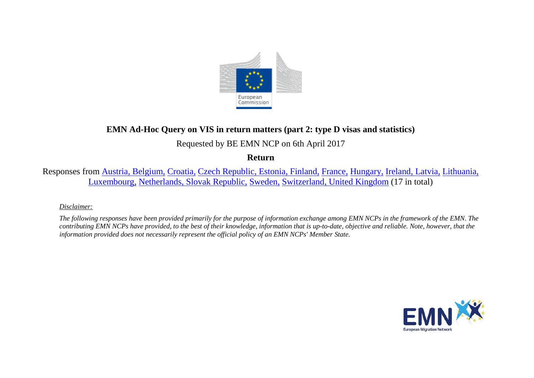

# **EMN Ad-Hoc Query on VIS in return matters (part 2: type D visas and statistics)**

## Requested by BE EMN NCP on 6th April 2017

## **Return**

Responses from [Austria, Belgium,](#page-2-0) [Croatia,](#page-3-0) [Czech Republic,](#page-3-1) [Estonia,](#page-3-1) [Finland,](#page-3-2) [France,](#page-3-3) [Hungary,](#page-3-4) [Ireland, Latvia,](#page-4-0) [Lithuania,](#page-4-1) [Luxembourg,](#page-4-2) [Netherlands, Slovak Republic,](#page-5-0) [Sweden,](#page-6-0) [Switzerland, United Kingdom](#page-6-1) (17 in total)

## *Disclaimer:*

*The following responses have been provided primarily for the purpose of information exchange among EMN NCPs in the framework of the EMN. The contributing EMN NCPs have provided, to the best of their knowledge, information that is up-to-date, objective and reliable. Note, however, that the information provided does not necessarily represent the official policy of an EMN NCPs' Member State.*

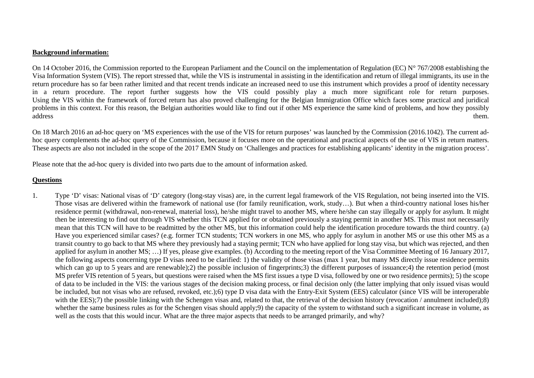#### **Background information:**

On 14 October 2016, the Commission reported to the European Parliament and the Council on the implementation of Regulation (EC)  $N^{\circ}$  767/2008 establishing the Visa Information System (VIS). The report stressed that, while the VIS is instrumental in assisting in the identification and return of illegal immigrants, its use in the return procedure has so far been rather limited and that recent trends indicate an increased need to use this instrument which provides a proof of identity necessary in a return procedure. The report further suggests how the VIS could possibly play a much more significant role for return purposes. Using the VIS within the framework of forced return has also proved challenging for the Belgian Immigration Office which faces some practical and juridical problems in this context. For this reason, the Belgian authorities would like to find out if other MS experience the same kind of problems, and how they possibly address them.

On 18 March 2016 an ad-hoc query on 'MS experiences with the use of the VIS for return purposes' was launched by the Commission (2016.1042). The current adhoc query complements the ad-hoc query of the Commission, because it focuses more on the operational and practical aspects of the use of VIS in return matters. These aspects are also not included in the scope of the 2017 EMN Study on 'Challenges and practices for establishing applicants' identity in the migration process'.

Please note that the ad-hoc query is divided into two parts due to the amount of information asked.

### **Questions**

1. Type 'D' visas: National visas of 'D' category (long-stay visas) are, in the current legal framework of the VIS Regulation, not being inserted into the VIS. Those visas are delivered within the framework of national use (for family reunification, work, study…). But when a third-country national loses his/her residence permit (withdrawal, non-renewal, material loss), he/she might travel to another MS, where he/she can stay illegally or apply for asylum. It might then be interesting to find out through VIS whether this TCN applied for or obtained previously a staying permit in another MS. This must not necessarily mean that this TCN will have to be readmitted by the other MS, but this information could help the identification procedure towards the third country. (a) Have you experienced similar cases? (e.g. former TCN students; TCN workers in one MS, who apply for asylum in another MS or use this other MS as a transit country to go back to that MS where they previously had a staying permit; TCN who have applied for long stay visa, but which was rejected, and then applied for asylum in another MS; …) If yes, please give examples. (b) According to the meeting report of the Visa Committee Meeting of 16 January 2017, the following aspects concerning type D visas need to be clarified: 1) the validity of those visas (max 1 year, but many MS directly issue residence permits which can go up to 5 years and are renewable);2) the possible inclusion of fingerprints;3) the different purposes of issuance;4) the retention period (most MS prefer VIS retention of 5 years, but questions were raised when the MS first issues a type D visa, followed by one or two residence permits); 5) the scope of data to be included in the VIS: the various stages of the decision making process, or final decision only (the latter implying that only issued visas would be included, but not visas who are refused, revoked, etc.);6) type D visa data with the Entry-Exit System (EES) calculator (since VIS will be interoperable with the EES);7) the possible linking with the Schengen visas and, related to that, the retrieval of the decision history (revocation / annulment included);8) whether the same business rules as for the Schengen visas should apply;9) the capacity of the system to withstand such a significant increase in volume, as well as the costs that this would incur. What are the three major aspects that needs to be arranged primarily, and why?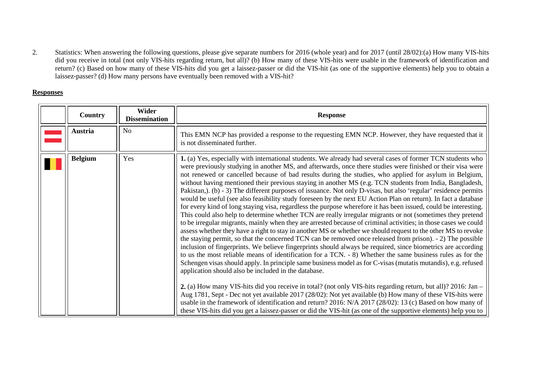2. Statistics: When answering the following questions, please give separate numbers for 2016 (whole year) and for 2017 (until 28/02):(a) How many VIS-hits did you receive in total (not only VIS-hits regarding return, but all)? (b) How many of these VIS-hits were usable in the framework of identification and return? (c) Based on how many of these VIS-hits did you get a laissez-passer or did the VIS-hit (as one of the supportive elements) help you to obtain a laissez-passer? (d) How many persons have eventually been removed with a VIS-hit?

### **Responses**

<span id="page-2-0"></span>

| Country        | <b>Wider</b><br><b>Dissemination</b> | <b>Response</b>                                                                                                                                                                                                                                                                                                                                                                                                                                                                                                                                                                                                                                                                                                                                                                                                                                                                                                                                                                                                                                                                                                                                                                                                                                                                                                                                                                                                                                                                                                                                                                                                                                                                                                                                                                                                                                                                                                                                                                                                                                                                                                                             |
|----------------|--------------------------------------|---------------------------------------------------------------------------------------------------------------------------------------------------------------------------------------------------------------------------------------------------------------------------------------------------------------------------------------------------------------------------------------------------------------------------------------------------------------------------------------------------------------------------------------------------------------------------------------------------------------------------------------------------------------------------------------------------------------------------------------------------------------------------------------------------------------------------------------------------------------------------------------------------------------------------------------------------------------------------------------------------------------------------------------------------------------------------------------------------------------------------------------------------------------------------------------------------------------------------------------------------------------------------------------------------------------------------------------------------------------------------------------------------------------------------------------------------------------------------------------------------------------------------------------------------------------------------------------------------------------------------------------------------------------------------------------------------------------------------------------------------------------------------------------------------------------------------------------------------------------------------------------------------------------------------------------------------------------------------------------------------------------------------------------------------------------------------------------------------------------------------------------------|
| <b>Austria</b> | N <sub>o</sub>                       | This EMN NCP has provided a response to the requesting EMN NCP. However, they have requested that it<br>is not disseminated further.                                                                                                                                                                                                                                                                                                                                                                                                                                                                                                                                                                                                                                                                                                                                                                                                                                                                                                                                                                                                                                                                                                                                                                                                                                                                                                                                                                                                                                                                                                                                                                                                                                                                                                                                                                                                                                                                                                                                                                                                        |
| <b>Belgium</b> | Yes                                  | 1. (a) Yes, especially with international students. We already had several cases of former TCN students who<br>were previously studying in another MS, and afterwards, once there studies were finished or their visa were<br>not renewed or cancelled because of bad results during the studies, who applied for asylum in Belgium,<br>without having mentioned their previous staying in another MS (e.g. TCN students from India, Bangladesh,<br>Pakistan, (b) - 3) The different purposes of issuance. Not only D-visas, but also 'regular' residence permits<br>would be useful (see also feasibility study foreseen by the next EU Action Plan on return). In fact a database<br>for every kind of long staying visa, regardless the purpose wherefore it has been issued, could be interesting.<br>This could also help to determine whether TCN are really irregular migrants or not (sometimes they pretend<br>to be irregular migrants, mainly when they are arrested because of criminal activities; in those cases we could<br>assess whether they have a right to stay in another MS or whether we should request to the other MS to revoke<br>the staying permit, so that the concerned TCN can be removed once released from prison). - 2) The possible<br>inclusion of fingerprints. We believe fingerprints should always be required, since biometrics are according<br>to us the most reliable means of identification for a TCN. - 8) Whether the same business rules as for the<br>Schengen visas should apply. In principle same business model as for C-visas (mutatis mutandis), e.g. refused<br>application should also be included in the database.<br>2. (a) How many VIS-hits did you receive in total? (not only VIS-hits regarding return, but all)? 2016: Jan –<br>Aug 1781, Sept - Dec not yet available 2017 (28/02): Not yet available (b) How many of these VIS-hits were<br>usable in the framework of identification and return? 2016: N/A 2017 (28/02): 13 (c) Based on how many of<br>these VIS-hits did you get a laissez-passer or did the VIS-hit (as one of the supportive elements) help you to |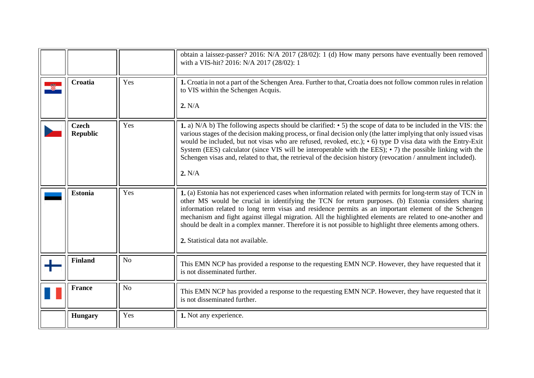<span id="page-3-4"></span><span id="page-3-3"></span><span id="page-3-2"></span><span id="page-3-1"></span><span id="page-3-0"></span>

|                                 |                | obtain a laissez-passer? 2016: N/A 2017 (28/02): 1 (d) How many persons have eventually been removed<br>with a VIS-hit? 2016: N/A 2017 (28/02): 1                                                                                                                                                                                                                                                                                                                                                                                                                                                          |
|---------------------------------|----------------|------------------------------------------------------------------------------------------------------------------------------------------------------------------------------------------------------------------------------------------------------------------------------------------------------------------------------------------------------------------------------------------------------------------------------------------------------------------------------------------------------------------------------------------------------------------------------------------------------------|
| Croatia                         | Yes            | 1. Croatia in not a part of the Schengen Area. Further to that, Croatia does not follow common rules in relation<br>to VIS within the Schengen Acquis.<br>2. N/A                                                                                                                                                                                                                                                                                                                                                                                                                                           |
| <b>Czech</b><br><b>Republic</b> | Yes            | 1. a) $N/A$ b) The following aspects should be clarified: $\bullet$ 5) the scope of data to be included in the VIS: the<br>various stages of the decision making process, or final decision only (the latter implying that only issued visas<br>would be included, but not visas who are refused, revoked, etc.); • 6) type D visa data with the Entry-Exit<br>System (EES) calculator (since VIS will be interoperable with the EES); $\cdot$ 7) the possible linking with the<br>Schengen visas and, related to that, the retrieval of the decision history (revocation / annulment included).<br>2. N/A |
| <b>Estonia</b>                  | Yes            | 1. (a) Estonia has not experienced cases when information related with permits for long-term stay of TCN in<br>other MS would be crucial in identifying the TCN for return purposes. (b) Estonia considers sharing<br>information related to long term visas and residence permits as an important element of the Schengen<br>mechanism and fight against illegal migration. All the highlighted elements are related to one-another and<br>should be dealt in a complex manner. Therefore it is not possible to highlight three elements among others.<br>2. Statistical data not available.              |
| <b>Finland</b>                  | N <sub>o</sub> | This EMN NCP has provided a response to the requesting EMN NCP. However, they have requested that it<br>is not disseminated further.                                                                                                                                                                                                                                                                                                                                                                                                                                                                       |
| <b>France</b>                   | N <sub>o</sub> | This EMN NCP has provided a response to the requesting EMN NCP. However, they have requested that it<br>is not disseminated further.                                                                                                                                                                                                                                                                                                                                                                                                                                                                       |
| <b>Hungary</b>                  | Yes            | 1. Not any experience.                                                                                                                                                                                                                                                                                                                                                                                                                                                                                                                                                                                     |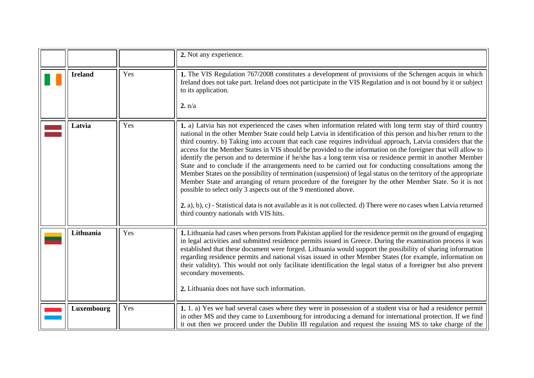<span id="page-4-2"></span><span id="page-4-1"></span><span id="page-4-0"></span>

|                |     | 2. Not any experience.                                                                                                                                                                                                                                                                                                                                                                                                                                                                                                                                                                                                                                                                                                                                                                                                                                                                                                                                                                                                                                                                                                                                    |
|----------------|-----|-----------------------------------------------------------------------------------------------------------------------------------------------------------------------------------------------------------------------------------------------------------------------------------------------------------------------------------------------------------------------------------------------------------------------------------------------------------------------------------------------------------------------------------------------------------------------------------------------------------------------------------------------------------------------------------------------------------------------------------------------------------------------------------------------------------------------------------------------------------------------------------------------------------------------------------------------------------------------------------------------------------------------------------------------------------------------------------------------------------------------------------------------------------|
| <b>Ireland</b> | Yes | 1. The VIS Regulation 767/2008 constitutes a development of provisions of the Schengen acquis in which<br>Ireland does not take part. Ireland does not participate in the VIS Regulation and is not bound by it or subject<br>to its application.<br>2. n/a                                                                                                                                                                                                                                                                                                                                                                                                                                                                                                                                                                                                                                                                                                                                                                                                                                                                                               |
| Latvia         | Yes | 1. a) Latvia has not experienced the cases when information related with long term stay of third country<br>national in the other Member State could help Latvia in identification of this person and his/her return to the<br>third country. b) Taking into account that each case requires individual approach, Latvia considers that the<br>access for the Member States in VIS should be provided to the information on the foreigner that will allow to<br>identify the person and to determine if he/she has a long term visa or residence permit in another Member<br>State and to conclude if the arrangements need to be carried out for conducting consultations among the<br>Member States on the possibility of termination (suspension) of legal status on the territory of the appropriate<br>Member State and arranging of return procedure of the foreigner by the other Member State. So it is not<br>possible to select only 3 aspects out of the 9 mentioned above.<br>2. a), b), c) - Statistical data is not available as it is not collected. d) There were no cases when Latvia returned<br>third country nationals with VIS hits. |
| Lithuania      | Yes | 1. Lithuania had cases when persons from Pakistan applied for the residence permit on the ground of engaging<br>in legal activities and submitted residence permits issued in Greece. During the examination process it was<br>established that these document were forged. Lithuania would support the possibility of sharing information<br>regarding residence permits and national visas issued in other Member States (for example, information on<br>their validity). This would not only facilitate identification the legal status of a foreigner but also prevent<br>secondary movements.<br>2. Lithuania does not have such information.                                                                                                                                                                                                                                                                                                                                                                                                                                                                                                        |
| Luxembourg     | Yes | 1. 1. a) Yes we had several cases where they were in possession of a student visa or had a residence permit<br>in other MS and they came to Luxembourg for introducing a demand for international protection. If we find<br>it out then we proceed under the Dublin III regulation and request the issuing MS to take charge of the                                                                                                                                                                                                                                                                                                                                                                                                                                                                                                                                                                                                                                                                                                                                                                                                                       |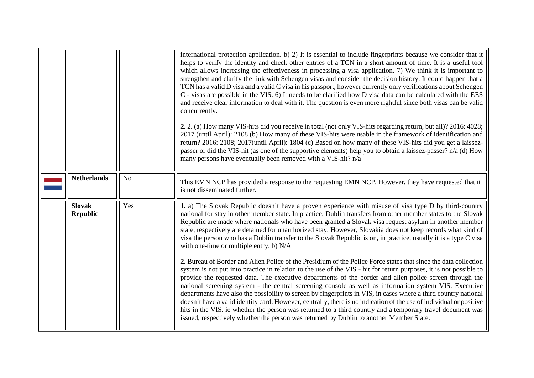<span id="page-5-0"></span>

|                                  |                | international protection application. b) 2) It is essential to include fingerprints because we consider that it<br>helps to verify the identity and check other entries of a TCN in a short amount of time. It is a useful tool<br>which allows increasing the effectiveness in processing a visa application. 7) We think it is important to<br>strengthen and clarify the link with Schengen visas and consider the decision history. It could happen that a<br>TCN has a valid D visa and a valid C visa in his passport, however currently only verifications about Schengen<br>C - visas are possible in the VIS. 6) It needs to be clarified how D visa data can be calculated with the EES<br>and receive clear information to deal with it. The question is even more rightful since both visas can be valid<br>concurrently.<br>2. 2. (a) How many VIS-hits did you receive in total (not only VIS-hits regarding return, but all)? 2016: 4028;<br>2017 (until April): 2108 (b) How many of these VIS-hits were usable in the framework of identification and<br>return? 2016: 2108; 2017(until April): 1804 (c) Based on how many of these VIS-hits did you get a laissez-<br>passer or did the VIS-hit (as one of the supportive elements) help you to obtain a laissez-passer? n/a (d) How<br>many persons have eventually been removed with a VIS-hit? n/a |
|----------------------------------|----------------|-------------------------------------------------------------------------------------------------------------------------------------------------------------------------------------------------------------------------------------------------------------------------------------------------------------------------------------------------------------------------------------------------------------------------------------------------------------------------------------------------------------------------------------------------------------------------------------------------------------------------------------------------------------------------------------------------------------------------------------------------------------------------------------------------------------------------------------------------------------------------------------------------------------------------------------------------------------------------------------------------------------------------------------------------------------------------------------------------------------------------------------------------------------------------------------------------------------------------------------------------------------------------------------------------------------------------------------------------------------------------|
| <b>Netherlands</b>               | N <sub>o</sub> | This EMN NCP has provided a response to the requesting EMN NCP. However, they have requested that it<br>is not disseminated further.                                                                                                                                                                                                                                                                                                                                                                                                                                                                                                                                                                                                                                                                                                                                                                                                                                                                                                                                                                                                                                                                                                                                                                                                                                    |
| <b>Slovak</b><br><b>Republic</b> | Yes            | 1. a) The Slovak Republic doesn't have a proven experience with misuse of visa type D by third-country<br>national for stay in other member state. In practice, Dublin transfers from other member states to the Slovak<br>Republic are made where nationals who have been granted a Slovak visa request asylum in another member<br>state, respectively are detained for unauthorized stay. However, Slovakia does not keep records what kind of<br>visa the person who has a Dublin transfer to the Slovak Republic is on, in practice, usually it is a type C visa<br>with one-time or multiple entry. b) N/A                                                                                                                                                                                                                                                                                                                                                                                                                                                                                                                                                                                                                                                                                                                                                        |
|                                  |                | 2. Bureau of Border and Alien Police of the Presidium of the Police Force states that since the data collection<br>system is not put into practice in relation to the use of the VIS - hit for return purposes, it is not possible to<br>provide the requested data. The executive departments of the border and alien police screen through the<br>national screening system - the central screening console as well as information system VIS. Executive<br>departments have also the possibility to screen by fingerprints in VIS, in cases where a third country national<br>doesn't have a valid identity card. However, centrally, there is no indication of the use of individual or positive<br>hits in the VIS, ie whether the person was returned to a third country and a temporary travel document was<br>issued, respectively whether the person was returned by Dublin to another Member State.                                                                                                                                                                                                                                                                                                                                                                                                                                                           |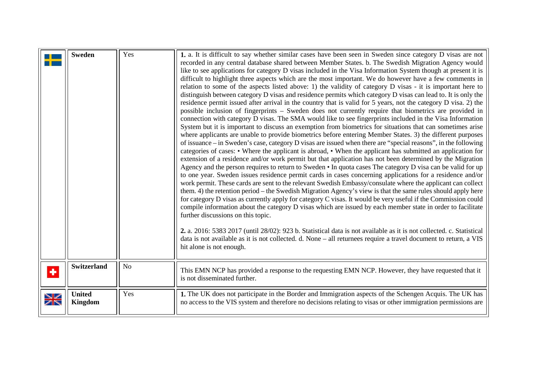<span id="page-6-1"></span><span id="page-6-0"></span>

|             | <b>Sweden</b>                   | Yes            | 1. a. It is difficult to say whether similar cases have been seen in Sweden since category D visas are not<br>recorded in any central database shared between Member States. b. The Swedish Migration Agency would<br>like to see applications for category D visas included in the Visa Information System though at present it is<br>difficult to highlight three aspects which are the most important. We do however have a few comments in<br>relation to some of the aspects listed above: 1) the validity of category D visas - it is important here to<br>distinguish between category D visas and residence permits which category D visas can lead to. It is only the<br>residence permit issued after arrival in the country that is valid for 5 years, not the category D visa. 2) the<br>possible inclusion of fingerprints - Sweden does not currently require that biometrics are provided in<br>connection with category D visas. The SMA would like to see fingerprints included in the Visa Information<br>System but it is important to discuss an exemption from biometrics for situations that can sometimes arise<br>where applicants are unable to provide biometrics before entering Member States. 3) the different purposes<br>of issuance – in Sweden's case, category D visas are issued when there are "special reasons", in the following<br>categories of cases: • Where the applicant is abroad, • When the applicant has submitted an application for<br>extension of a residence and/or work permit but that application has not been determined by the Migration<br>Agency and the person requires to return to Sweden • In quota cases The category D visa can be valid for up<br>to one year. Sweden issues residence permit cards in cases concerning applications for a residence and/or<br>work permit. These cards are sent to the relevant Swedish Embassy/consulate where the applicant can collect<br>them. 4) the retention period – the Swedish Migration Agency's view is that the same rules should apply here<br>for category D visas as currently apply for category C visas. It would be very useful if the Commission could<br>compile information about the category D visas which are issued by each member state in order to facilitate<br>further discussions on this topic.<br>2. a. 2016: 5383 2017 (until 28/02): 923 b. Statistical data is not available as it is not collected. c. Statistical<br>data is not available as it is not collected. d. None – all returnees require a travel document to return, a VIS<br>hit alone is not enough. |
|-------------|---------------------------------|----------------|-------------------------------------------------------------------------------------------------------------------------------------------------------------------------------------------------------------------------------------------------------------------------------------------------------------------------------------------------------------------------------------------------------------------------------------------------------------------------------------------------------------------------------------------------------------------------------------------------------------------------------------------------------------------------------------------------------------------------------------------------------------------------------------------------------------------------------------------------------------------------------------------------------------------------------------------------------------------------------------------------------------------------------------------------------------------------------------------------------------------------------------------------------------------------------------------------------------------------------------------------------------------------------------------------------------------------------------------------------------------------------------------------------------------------------------------------------------------------------------------------------------------------------------------------------------------------------------------------------------------------------------------------------------------------------------------------------------------------------------------------------------------------------------------------------------------------------------------------------------------------------------------------------------------------------------------------------------------------------------------------------------------------------------------------------------------------------------------------------------------------------------------------------------------------------------------------------------------------------------------------------------------------------------------------------------------------------------------------------------------------------------------------------------------------------------------------------------------------------------------------------------------------------------------------------------------------------------------------------------|
| ٠           | <b>Switzerland</b>              | N <sub>o</sub> | This EMN NCP has provided a response to the requesting EMN NCP. However, they have requested that it<br>is not disseminated further.                                                                                                                                                                                                                                                                                                                                                                                                                                                                                                                                                                                                                                                                                                                                                                                                                                                                                                                                                                                                                                                                                                                                                                                                                                                                                                                                                                                                                                                                                                                                                                                                                                                                                                                                                                                                                                                                                                                                                                                                                                                                                                                                                                                                                                                                                                                                                                                                                                                                        |
| $\geqslant$ | <b>United</b><br><b>Kingdom</b> | Yes            | 1. The UK does not participate in the Border and Immigration aspects of the Schengen Acquis. The UK has<br>no access to the VIS system and therefore no decisions relating to visas or other immigration permissions are                                                                                                                                                                                                                                                                                                                                                                                                                                                                                                                                                                                                                                                                                                                                                                                                                                                                                                                                                                                                                                                                                                                                                                                                                                                                                                                                                                                                                                                                                                                                                                                                                                                                                                                                                                                                                                                                                                                                                                                                                                                                                                                                                                                                                                                                                                                                                                                    |
|             |                                 |                |                                                                                                                                                                                                                                                                                                                                                                                                                                                                                                                                                                                                                                                                                                                                                                                                                                                                                                                                                                                                                                                                                                                                                                                                                                                                                                                                                                                                                                                                                                                                                                                                                                                                                                                                                                                                                                                                                                                                                                                                                                                                                                                                                                                                                                                                                                                                                                                                                                                                                                                                                                                                             |